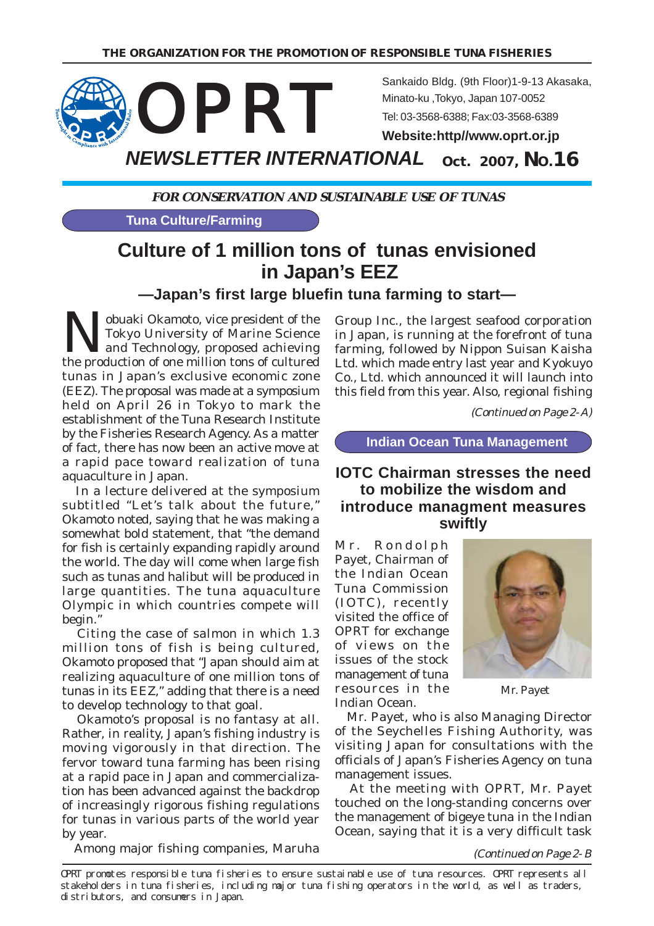

**FOR CONSERVATION AND SUSTAINABLE USE OF TUNAS**

**Tuna Culture/Farming**

# **Culture of 1 million tons of tunas envisioned in Japan's EEZ**

**—Japan's first large bluefin tuna farming to start—**

Nobuaki Okamoto, vice president of the<br>Tokyo University of Marine Science<br>the preduction of an million tone of sultured Tokyo University of Marine Science the production of one million tons of cultured tunas in Japan's exclusive economic zone (EEZ). The proposal was made at a symposium held on April 26 in Tokyo to mark the establishment of the Tuna Research Institute by the Fisheries Research Agency. As a matter of fact, there has now been an active move at a rapid pace toward realization of tuna aquaculture in Japan.

 In a lecture delivered at the symposium subtitled "Let's talk about the future," Okamoto noted, saying that he was making a somewhat bold statement, that "the demand for fish is certainly expanding rapidly around the world. The day will come when large fish such as tunas and halibut will be produced in large quantities. The tuna aquaculture Olympic in which countries compete will begin."

 Citing the case of salmon in which 1.3 million tons of fish is being cultured, Okamoto proposed that "Japan should aim at realizing aquaculture of one million tons of tunas in its EEZ," adding that there is a need to develop technology to that goal.

 Okamoto's proposal is no fantasy at all. Rather, in reality, Japan's fishing industry is moving vigorously in that direction. The fervor toward tuna farming has been rising at a rapid pace in Japan and commercialization has been advanced against the backdrop of increasingly rigorous fishing regulations for tunas in various parts of the world year by year.

Among major fishing companies, Maruha

Group Inc., the largest seafood corporation in Japan, is running at the forefront of tuna farming, followed by Nippon Suisan Kaisha Ltd. which made entry last year and Kyokuyo Co., Ltd. which announced it will launch into this field from this year. Also, regional fishing

(Continued on Page 2- A)

**Indian Ocean Tuna Management**

### **IOTC Chairman stresses the need to mobilize the wisdom and introduce managment measures swiftly**

Mr. Rondolph Payet, Chairman of the Indian Ocean Tuna Commission (IOTC), recently visited the office of OPRT for exchange of views on the issues of the stock management of tuna resources in the Indian Ocean.



Mr. Payet

 Mr. Payet, who is also Managing Director of the Seychelles Fishing Authority, was visiting Japan for consultations with the officials of Japan's Fisheries Agency on tuna management issues.

 At the meeting with OPRT, Mr. Payet touched on the long-standing concerns over the management of bigeye tuna in the Indian Ocean, saying that it is a very difficult task

(Continued on Page 2- B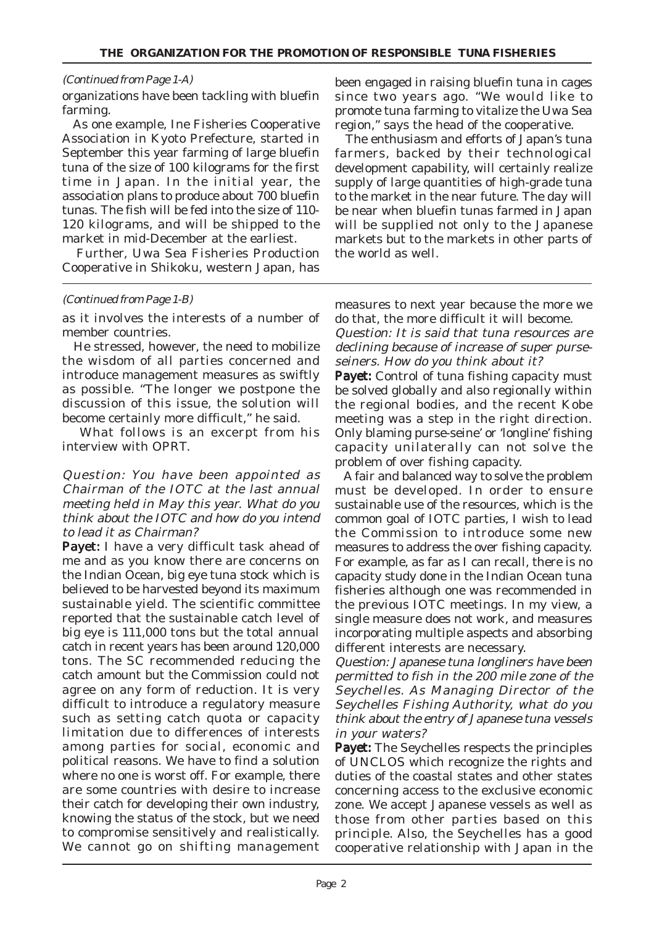#### (Continued from Page 1-A)

organizations have been tackling with bluefin farming.

 As one example, Ine Fisheries Cooperative Association in Kyoto Prefecture, started in September this year farming of large bluefin tuna of the size of 100 kilograms for the first time in Japan. In the initial year, the association plans to produce about 700 bluefin tunas. The fish will be fed into the size of 110- 120 kilograms, and will be shipped to the market in mid-December at the earliest.

 Further, Uwa Sea Fisheries Production Cooperative in Shikoku, western Japan, has

#### (Continued from Page 1-B)

as it involves the interests of a number of member countries.

 He stressed, however, the need to mobilize the wisdom of all parties concerned and introduce management measures as swiftly as possible. "The longer we postpone the discussion of this issue, the solution will become certainly more difficult," he said.

 What follows is an excerpt from his interview with OPRT.

Question: You have been appointed as Chairman of the IOTC at the last annual meeting held in May this year. What do you think about the IOTC and how do you intend to lead it as Chairman?

Payet: I have a very difficult task ahead of me and as you know there are concerns on the Indian Ocean, big eye tuna stock which is believed to be harvested beyond its maximum sustainable yield. The scientific committee reported that the sustainable catch level of big eye is 111,000 tons but the total annual catch in recent years has been around 120,000 tons. The SC recommended reducing the catch amount but the Commission could not agree on any form of reduction. It is very difficult to introduce a regulatory measure such as setting catch quota or capacity limitation due to differences of interests among parties for social, economic and political reasons. We have to find a solution where no one is worst off. For example, there are some countries with desire to increase their catch for developing their own industry, knowing the status of the stock, but we need to compromise sensitively and realistically. We cannot go on shifting management

been engaged in raising bluefin tuna in cages since two years ago. "We would like to promote tuna farming to vitalize the Uwa Sea region," says the head of the cooperative.

 The enthusiasm and efforts of Japan's tuna farmers, backed by their technological development capability, will certainly realize supply of large quantities of high-grade tuna to the market in the near future. The day will be near when bluefin tunas farmed in Japan will be supplied not only to the Japanese markets but to the markets in other parts of the world as well.

measures to next year because the more we do that, the more difficult it will become.

Question: It is said that tuna resources are declining because of increase of super purseseiners. How do you think about it?

Payet: Control of tuna fishing capacity must be solved globally and also regionally within the regional bodies, and the recent Kobe meeting was a step in the right direction. Only blaming purse-seine' or 'longline' fishing capacity unilaterally can not solve the problem of over fishing capacity.

 A fair and balanced way to solve the problem must be developed. In order to ensure sustainable use of the resources, which is the common goal of IOTC parties, I wish to lead the Commission to introduce some new measures to address the over fishing capacity. For example, as far as I can recall, there is no capacity study done in the Indian Ocean tuna fisheries although one was recommended in the previous IOTC meetings. In my view, a single measure does not work, and measures incorporating multiple aspects and absorbing different interests are necessary.

Question: Japanese tuna longliners have been permitted to fish in the 200 mile zone of the Seychelles. As Managing Director of the Seychelles Fishing Authority, what do you think about the entry of Japanese tuna vessels in your waters?

**Payet:** The Seychelles respects the principles of UNCLOS which recognize the rights and duties of the coastal states and other states concerning access to the exclusive economic zone. We accept Japanese vessels as well as those from other parties based on this principle. Also, the Seychelles has a good cooperative relationship with Japan in the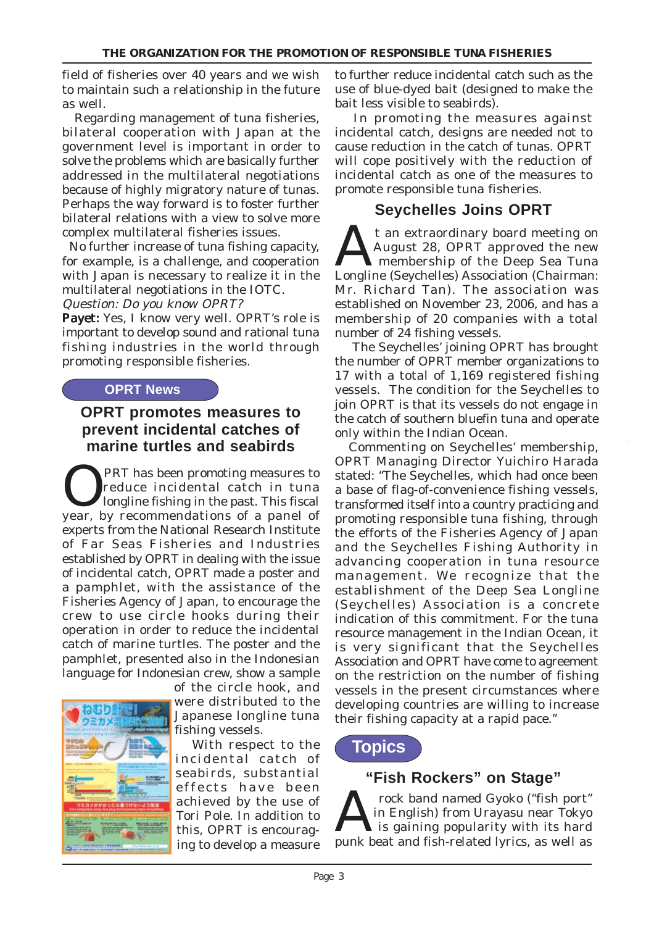field of fisheries over 40 years and we wish to maintain such a relationship in the future as well.

 Regarding management of tuna fisheries, bilateral cooperation with Japan at the government level is important in order to solve the problems which are basically further addressed in the multilateral negotiations because of highly migratory nature of tunas. Perhaps the way forward is to foster further bilateral relations with a view to solve more complex multilateral fisheries issues.

 No further increase of tuna fishing capacity, for example, is a challenge, and cooperation with Japan is necessary to realize it in the multilateral negotiations in the IOTC.

Question: Do you know OPRT? Payet: Yes, I know very well. OPRT's role is

important to develop sound and rational tuna fishing industries in the world through promoting responsible fisheries.

#### **OPRT News**

### **OPRT promotes measures to prevent incidental catches of marine turtles and seabirds**

**OPRT** has been promoting measures to<br>longline fishing in the past. This fiscal<br>wear by recommendations of a panel of reduce incidental catch in tuna year, by recommendations of a panel of experts from the National Research Institute of Far Seas Fisheries and Industries established by OPRT in dealing with the issue of incidental catch, OPRT made a poster and a pamphlet, with the assistance of the Fisheries Agency of Japan, to encourage the crew to use circle hooks during their operation in order to reduce the incidental catch of marine turtles. The poster and the pamphlet, presented also in the Indonesian language for Indonesian crew, show a sample



of the circle hook, and were distributed to the Japanese longline tuna fishing vessels.

 With respect to the incidental catch of seabirds, substantial effects have been achieved by the use of Tori Pole. In addition to this, OPRT is encouraging to develop a measure

to further reduce incidental catch such as the use of blue-dyed bait (designed to make the bait less visible to seabirds).

 In promoting the measures against incidental catch, designs are needed not to cause reduction in the catch of tunas. OPRT will cope positively with the reduction of incidental catch as one of the measures to promote responsible tuna fisheries.

### **Seychelles Joins OPRT**

At an extraordinary board meeting on<br>August 28, OPRT approved the new<br>Longline (Saughelles) Association (Chairman) August 28, OPRT approved the new membership of the Deep Sea Tuna Longline (Seychelles) Association (Chairman: Mr. Richard Tan). The association was established on November 23, 2006, and has a membership of 20 companies with a total number of 24 fishing vessels.

The Seychelles' joining OPRT has brought the number of OPRT member organizations to 17 with a total of 1,169 registered fishing vessels. The condition for the Seychelles to join OPRT is that its vessels do not engage in the catch of southern bluefin tuna and operate only within the Indian Ocean.

 Commenting on Seychelles' membership, OPRT Managing Director Yuichiro Harada stated: "The Seychelles, which had once been a base of flag-of-convenience fishing vessels, transformed itself into a country practicing and promoting responsible tuna fishing, through the efforts of the Fisheries Agency of Japan and the Seychelles Fishing Authority in advancing cooperation in tuna resource management. We recognize that the establishment of the Deep Sea Longline (Seychelles) Association is a concrete indication of this commitment. For the tuna resource management in the Indian Ocean, it is very significant that the Seychelles Association and OPRT have come to agreement on the restriction on the number of fishing vessels in the present circumstances where developing countries are willing to increase their fishing capacity at a rapid pace."

## **Topics**

### **"Fish Rockers" on Stage"**

Tock band named Gyoko ("fish port"<br>
is gaining popularity with its hard<br>
with its hard fish polated limits, as well as in English) from Urayasu near Tokyo punk beat and fish-related lyrics, as well as